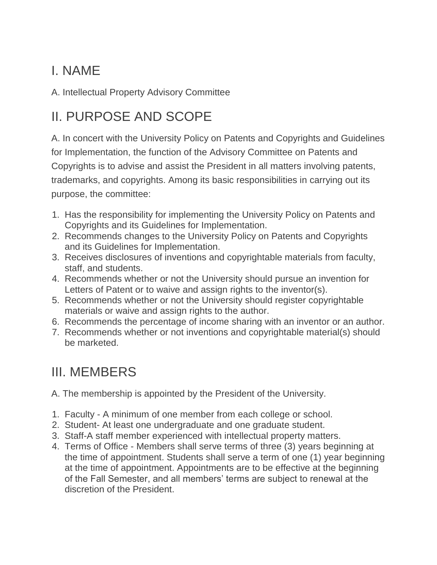### I. NAME

A. Intellectual Property Advisory Committee

## II. PURPOSE AND SCOPE

A. In concert with the University Policy on Patents and Copyrights and Guidelines for Implementation, the function of the Advisory Committee on Patents and Copyrights is to advise and assist the President in all matters involving patents, trademarks, and copyrights. Among its basic responsibilities in carrying out its purpose, the committee:

- 1. Has the responsibility for implementing the University Policy on Patents and Copyrights and its Guidelines for Implementation.
- 2. Recommends changes to the University Policy on Patents and Copyrights and its Guidelines for Implementation.
- 3. Receives disclosures of inventions and copyrightable materials from faculty, staff, and students.
- 4. Recommends whether or not the University should pursue an invention for Letters of Patent or to waive and assign rights to the inventor(s).
- 5. Recommends whether or not the University should register copyrightable materials or waive and assign rights to the author.
- 6. Recommends the percentage of income sharing with an inventor or an author.
- 7. Recommends whether or not inventions and copyrightable material(s) should be marketed.

### III. MEMBERS

A. The membership is appointed by the President of the University.

- 1. Faculty A minimum of one member from each college or school.
- 2. Student- At least one undergraduate and one graduate student.
- 3. Staff-A staff member experienced with intellectual property matters.
- 4. Terms of Office Members shall serve terms of three (3) years beginning at the time of appointment. Students shall serve a term of one (1) year beginning at the time of appointment. Appointments are to be effective at the beginning of the Fall Semester, and all members' terms are subject to renewal at the discretion of the President.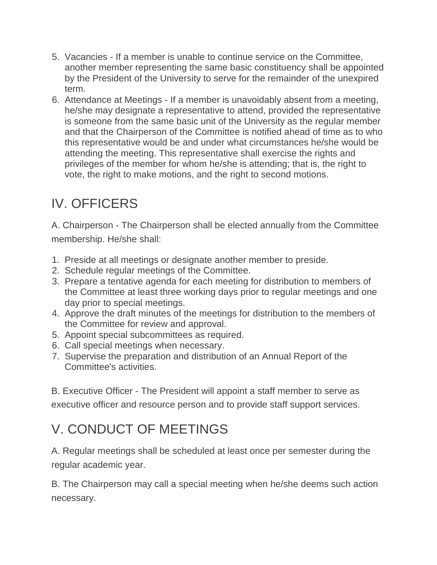- 5. Vacancies If a member is unable to continue service on the Committee, another member representing the same basic constituency shall be appointed by the President of the University to serve for the remainder of the unexpired term.
- 6. Attendance at Meetings If a member is unavoidably absent from a meeting, he/she may designate a representative to attend, provided the representative is someone from the same basic unit of the University as the regular member and that the Chairperson of the Committee is notified ahead of time as to who this representative would be and under what circumstances he/she would be attending the meeting. This representative shall exercise the rights and privileges of the member for whom he/she is attending; that is, the right to vote, the right to make motions, and the right to second motions.

## IV. OFFICERS

A. Chairperson - The Chairperson shall be elected annually from the Committee membership. He/she shall:

- 1. Preside at all meetings or designate another member to preside.
- 2. Schedule regular meetings of the Committee.
- 3. Prepare a tentative agenda for each meeting for distribution to members of the Committee at least three working days prior to regular meetings and one day prior to special meetings.
- 4. Approve the draft minutes of the meetings for distribution to the members of the Committee for review and approval.
- 5. Appoint special subcommittees as required.
- 6. Call special meetings when necessary.
- 7. Supervise the preparation and distribution of an Annual Report of the Committee's activities.

B. Executive Officer - The President will appoint a staff member to serve as executive officer and resource person and to provide staff support services.

# V. CONDUCT OF MEETINGS

A. Regular meetings shall be scheduled at least once per semester during the regular academic year.

B. The Chairperson may call a special meeting when he/she deems such action necessary.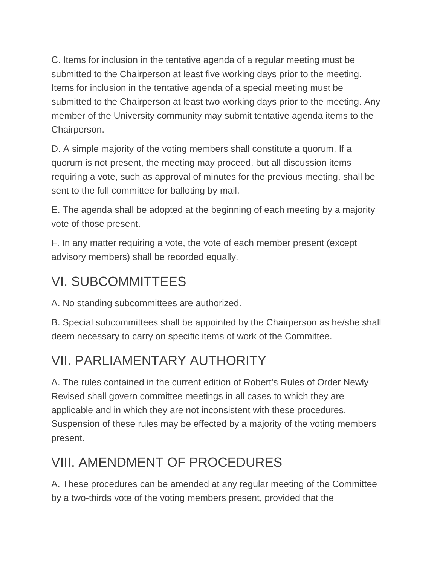C. Items for inclusion in the tentative agenda of a regular meeting must be submitted to the Chairperson at least five working days prior to the meeting. Items for inclusion in the tentative agenda of a special meeting must be submitted to the Chairperson at least two working days prior to the meeting. Any member of the University community may submit tentative agenda items to the Chairperson.

D. A simple majority of the voting members shall constitute a quorum. If a quorum is not present, the meeting may proceed, but all discussion items requiring a vote, such as approval of minutes for the previous meeting, shall be sent to the full committee for balloting by mail.

E. The agenda shall be adopted at the beginning of each meeting by a majority vote of those present.

F. In any matter requiring a vote, the vote of each member present (except advisory members) shall be recorded equally.

#### VI. SUBCOMMITTEES

A. No standing subcommittees are authorized.

B. Special subcommittees shall be appointed by the Chairperson as he/she shall deem necessary to carry on specific items of work of the Committee.

# VII. PARLIAMENTARY AUTHORITY

A. The rules contained in the current edition of Robert's Rules of Order Newly Revised shall govern committee meetings in all cases to which they are applicable and in which they are not inconsistent with these procedures. Suspension of these rules may be effected by a majority of the voting members present.

# VIII. AMENDMENT OF PROCEDURES

A. These procedures can be amended at any regular meeting of the Committee by a two-thirds vote of the voting members present, provided that the